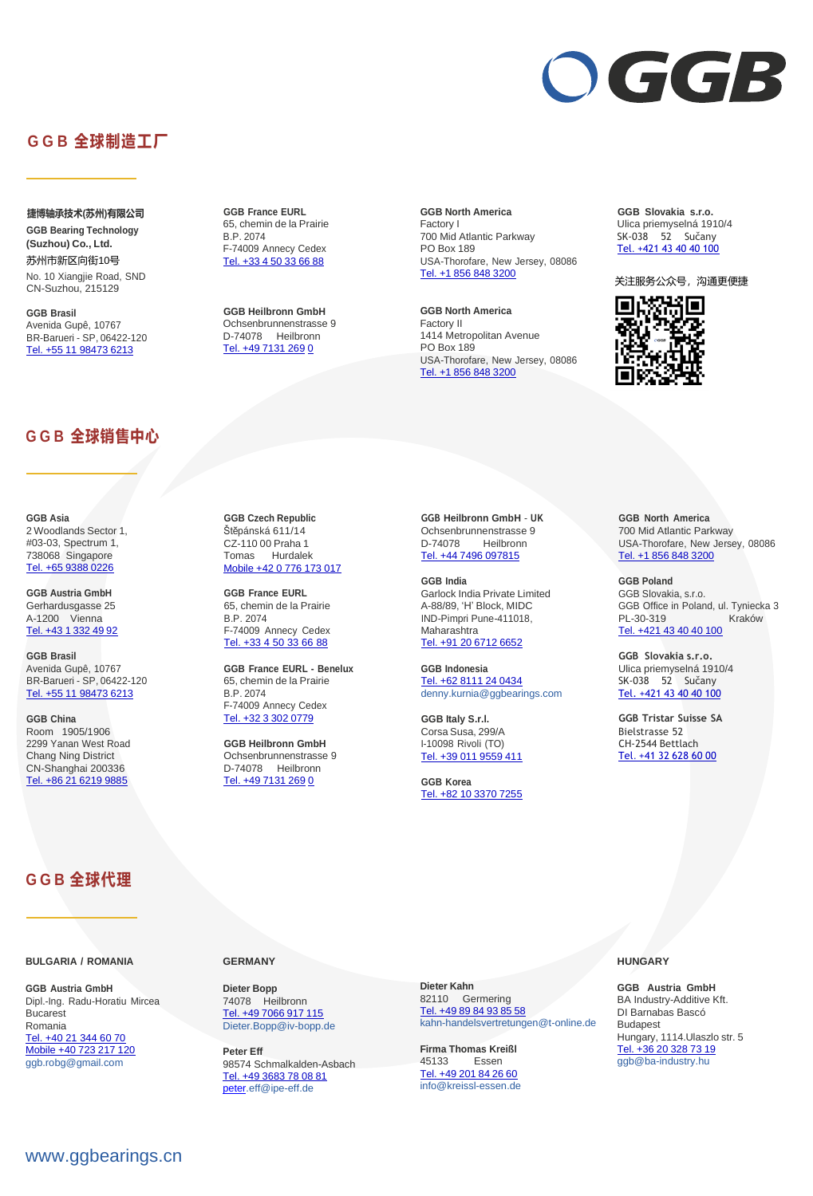# [www.ggbearings.cn](https://www.ggbearings.cn/)



# **G G B 全球制造工厂**

 **捷博轴承技术(苏州)有限公司 GGB Bearing Technology (Suzhou) Co., Ltd.** 苏州市新区向街10号 No. 10 Xiangjie Road, SND CN-Suzhou, 215129

**GGB Brasil** Avenida Gupê, 10767 BR-Barueri - SP, 06422-120 Tel. +55 11 98473 6213

**GGB France EURL** 65, chemin de la Prairie B.P. 2074 F-74009 Annecy Cedex Tel. +33 4 50 33 66 88

**GGB Heilbronn GmbH** Ochsenbrunnenstrasse 9 D-74078 Heilbronn Tel. +49 7131 269 0

**GGB North America** Factory I 700 Mid Atlantic Parkway PO Box 189 USA-Thorofare, New Jersey, 08086 Tel. +1 856 848 3200

**GGB North America** Factory II 1414 Metropolitan Avenue PO Box 189 USA-Thorofare, New Jersey, 08086 Tel. +1 856 848 3200

**GGB Slovakia s.r.o.** Ulica priemyselná 1910/4 SK-038 52 Sučany Tel. +421 43 40 40 100

关注服务公众号,沟通更便捷



## **G G B 全球销售中心**

**GGB Asia** 2 Woodlands Sector 1, #03-03, Spectrum 1, 738068 Singapore Tel. +65 9388 0226

**GGB Austria GmbH** Gerhardusgasse 25 A-1200 Vienna Tel. +43 1 332 49 92

**GGB Brasil** Avenida Gupê, 10767 BR-Barueri - SP, 06422-120 Tel. +55 11 98473 6213

**GGB China** Room 1905/1906 2299 Yanan West Road Chang Ning District CN-Shanghai 200336 Tel. +86 21 6219 9885

**GGB Czech Republic** Štěpánská 611/14 CZ-110 00 Praha 1 Tomas Hurdalek Mobile +42 0 776 173 017

**GGB France EURL** 65, chemin de la Prairie B.P. 2074 F-74009 Annecy Cedex Tel. +33 4 50 33 66 88

**GGB France EURL - Benelux** 65, chemin de la Prairie B.P. 2074 F-74009 Annecy Cedex Tel. +32 3 302 0779

**GGB Heilbronn GmbH** Ochsenbrunnenstrasse 9 D-74078 Heilbronn Tel. +49 7131 269 0

**GGB Heilbronn GmbH** - **UK** Ochsenbrunnenstrasse 9 D-74078 Heilbronn Tel. +44 7496 097815

**GGB India** Garlock India Private Limited A-88/89, 'H' Block, MIDC IND-Pimpri Pune-411018, Maharashtra Tel. +91 20 6712 6652

**GGB Indonesia** Tel. +62 8111 24 0434 [denny](mailto:denny.kurnia@ggbearings.com)[.kurnia@ggbearings.com](mailto:.kurnia@ggbearings.com)

**GGB Italy S.r.l.** Corsa Susa,299/A I-10098 Rivoli (TO) Tel. +39 011 9559 411

**GGB Korea** Tel. +82 10 3370 7255

**GGB North America** 700 Mid Atlantic Parkway USA-Thorofare, New Jersey, 08086 Tel. +1 856 848 3200

**GGB Poland** GGB Slovakia, s.r.o. GGB Office in Poland, ul. Tyniecka 3 PL-30-319 Kraków Tel. +421 43 40 40 100

**GGB Slovakia s.r.o.** Ulica priemyselná 1910/4 SK-038 52 Sučany Tel. +421 43 40 40 100

**GGB Tristar Suisse SA** Bielstrasse 52 CH-2544 Bettlach Tel. +41 32 628 60 00

**G G B 全球代理**

**BULGARIA / ROMANIA**

**GGB Austria GmbH** Dipl.-Ing. Radu-Horatiu Mircea Bucarest Romania Tel. +40 21 344 60 70 Mobile +40 723 217 120 [ggb.r](mailto:ggb.robg@gmail.com)[obg@gmail.com](mailto:obg@gmail.com)

**GERMANY**

**Dieter Bopp** 74078 Heilbronn Tel. +49 7066 917 115 [Dieter](mailto:Dieter.Bopp@iv-bopp.de)[.Bopp@iv-bopp.de](mailto:.Bopp@iv-bopp.de)

**Peter Eff** 98574 Schmalkalden-Asbach Tel. +49 3683 78 08 81 [peter](mailto:peter)[.eff@ipe-eff.de](mailto:.eff@ipe-eff.de)

**Dieter Kahn** 82110 Germering Tel. +49 89 84 93 85 58 [kahn-handelsvertretungen@t-online.de](mailto:kahn-handelsvertretungen@t-online.de)

**Firma Thomas Kreißl** 45133 Essen Tel. +49 201 84 26 60 [info@kreissl-essen.de](mailto:info@kreissl-essen.de)

## **HUNGARY**

**GGB Austria GmbH** BA Industry-Additive Kft. DI Barnabas Bascó Budapest Hungary, 1114.Ulaszlo str. 5 Tel. +36 20 328 73 19 [ggb@ba-industry.hu](mailto:ggb@ba-industry.hu)